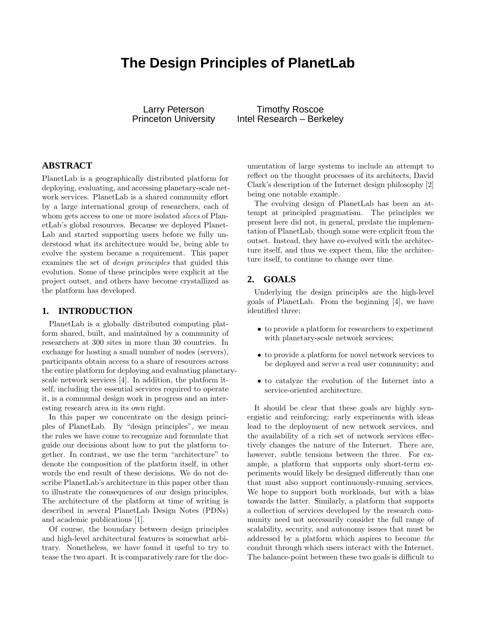# **The Design Principles of PlanetLab**

Larry Peterson **Timothy Roscoe** Princeton University Intel Research – Berkeley

# **ABSTRACT**

PlanetLab is a geographically distributed platform for deploying, evaluating, and accessing planetary-scale network services. PlanetLab is a shared community effort by a large international group of researchers, each of whom gets access to one or more isolated *slices* of PlanetLab's global resources. Because we deployed Planet-Lab and started supporting users before we fully understood what its architecture would be, being able to evolve the system became a requirement. This paper examines the set of design principles that guided this evolution. Some of these principles were explicit at the project outset, and others have become crystallized as the platform has developed.

#### **1. INTRODUCTION**

PlanetLab is a globally distributed computing platform shared, built, and maintained by a community of researchers at 300 sites in more than 30 countries. In exchange for hosting a small number of nodes (servers), participants obtain access to a share of resources across the entire platform for deploying and evaluating planetaryscale network services [4]. In addition, the platform itself, including the essential services required to operate it, is a communal design work in progress and an interesting research area in its own right.

In this paper we concentrate on the design principles of PlanetLab. By "design principles", we mean the rules we have come to recognize and formulate that guide our decisions about how to put the platform together. In contrast, we use the term "architecture" to denote the composition of the platform itself, in other words the end result of these decisions. We do not describe PlanetLab's architecture in this paper other than to illustrate the consequences of our design principles. The architecture of the platform at time of writing is described in several PlanetLab Design Notes (PDNs) and academic publications [1].

Of course, the boundary between design principles and high-level architectural features is somewhat arbitrary. Nonetheless, we have found it useful to try to tease the two apart. It is comparatively rare for the documentation of large systems to include an attempt to reflect on the thought processes of its architects, David Clark's description of the Internet design philosophy [2] being one notable example.

The evolving design of PlanetLab has been an attempt at principled pragmatism. The principles we present here did not, in general, predate the implementation of PlanetLab, though some were explicit from the outset. Instead, they have co-evolved with the architecture itself, and thus we expect them, like the architecture itself, to continue to change over time.

#### **2. GOALS**

Underlying the design principles are the high-level goals of PlanetLab. From the beginning [4], we have identified three:

- to provide a platform for researchers to experiment with planetary-scale network services;
- to provide a platform for novel network services to be deployed and serve a real user community; and
- to catalyze the evolution of the Internet into a service-oriented architecture.

It should be clear that these goals are highly synergistic and reinforcing: early experiments with ideas lead to the deployment of new network services, and the availability of a rich set of network services effectively changes the nature of the Internet. There are, however, subtle tensions between the three. For example, a platform that supports only short-term experiments would likely be designed differently than one that must also support continuously-running services. We hope to support both workloads, but with a bias towards the latter. Similarly, a platform that supports a collection of services developed by the research community need not necessarily consider the full range of scalability, security, and autonomy issues that must be addressed by a platform which aspires to become the conduit through which users interact with the Internet. The balance-point between these two goals is difficult to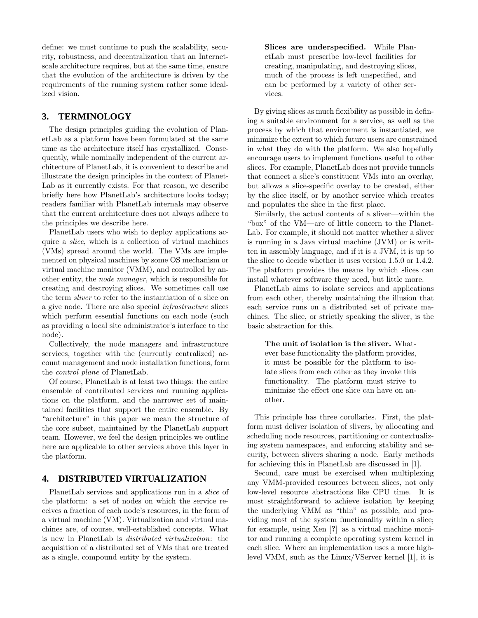define: we must continue to push the scalability, security, robustness, and decentralization that an Internetscale architecture requires, but at the same time, ensure that the evolution of the architecture is driven by the requirements of the running system rather some idealized vision.

# **3. TERMINOLOGY**

The design principles guiding the evolution of PlanetLab as a platform have been formulated at the same time as the architecture itself has crystallized. Consequently, while nominally independent of the current architecture of PlanetLab, it is convenient to describe and illustrate the design principles in the context of Planet-Lab as it currently exists. For that reason, we describe briefly here how PlanetLab's architecture looks today; readers familiar with PlanetLab internals may observe that the current architecture does not always adhere to the principles we describe here.

PlanetLab users who wish to deploy applications acquire a slice, which is a collection of virtual machines (VMs) spread around the world. The VMs are implemented on physical machines by some OS mechanism or virtual machine monitor (VMM), and controlled by another entity, the node manager, which is responsible for creating and destroying slices. We sometimes call use the term sliver to refer to the instantiation of a slice on a give node. There are also special infrastructure slices which perform essential functions on each node (such as providing a local site administrator's interface to the node).

Collectively, the node managers and infrastructure services, together with the (currently centralized) account management and node installation functions, form the control plane of PlanetLab.

Of course, PlanetLab is at least two things: the entire ensemble of contributed services and running applications on the platform, and the narrower set of maintained facilities that support the entire ensemble. By "architecture" in this paper we mean the structure of the core subset, maintained by the PlanetLab support team. However, we feel the design principles we outline here are applicable to other services above this layer in the platform.

## **4. DISTRIBUTED VIRTUALIZATION**

PlanetLab services and applications run in a slice of the platform: a set of nodes on which the service receives a fraction of each node's resources, in the form of a virtual machine (VM). Virtualization and virtual machines are, of course, well-established concepts. What is new in PlanetLab is distributed virtualization: the acquisition of a distributed set of VMs that are treated as a single, compound entity by the system.

Slices are underspecified. While PlanetLab must prescribe low-level facilities for creating, manipulating, and destroying slices, much of the process is left unspecified, and can be performed by a variety of other services.

By giving slices as much flexibility as possible in defining a suitable environment for a service, as well as the process by which that environment is instantiated, we minimize the extent to which future users are constrained in what they do with the platform. We also hopefully encourage users to implement functions useful to other slices. For example, PlanetLab does not provide tunnels that connect a slice's constituent VMs into an overlay, but allows a slice-specific overlay to be created, either by the slice itself, or by another service which creates and populates the slice in the first place.

Similarly, the actual contents of a sliver—within the "box" of the VM—are of little concern to the Planet-Lab. For example, it should not matter whether a sliver is running in a Java virtual machine (JVM) or is written in assembly language, and if it is a JVM, it is up to the slice to decide whether it uses version 1.5.0 or 1.4.2. The platform provides the means by which slices can install whatever software they need, but little more.

PlanetLab aims to isolate services and applications from each other, thereby maintaining the illusion that each service runs on a distributed set of private machines. The slice, or strictly speaking the sliver, is the basic abstraction for this.

The unit of isolation is the sliver. Whatever base functionality the platform provides, it must be possible for the platform to isolate slices from each other as they invoke this functionality. The platform must strive to minimize the effect one slice can have on another.

This principle has three corollaries. First, the platform must deliver isolation of slivers, by allocating and scheduling node resources, partitioning or contextualizing system namespaces, and enforcing stability and security, between slivers sharing a node. Early methods for achieving this in PlanetLab are discussed in [1].

Second, care must be exercised when multiplexing any VMM-provided resources between slices, not only low-level resource abstractions like CPU time. It is most straightforward to achieve isolation by keeping the underlying VMM as "thin" as possible, and providing most of the system functionality within a slice; for example, using Xen [?] as a virtual machine monitor and running a complete operating system kernel in each slice. Where an implementation uses a more highlevel VMM, such as the Linux/VServer kernel [1], it is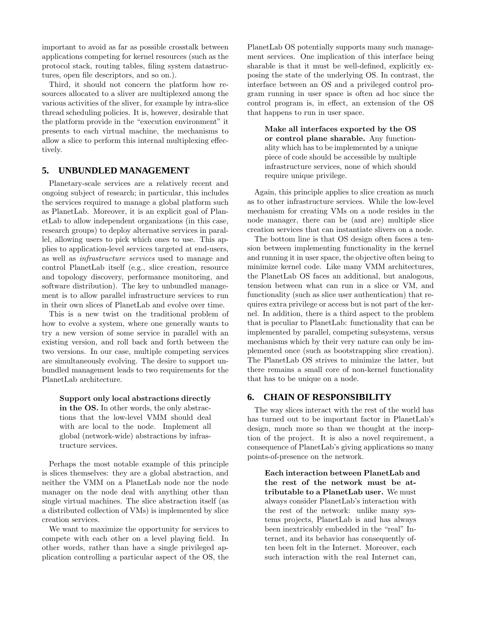important to avoid as far as possible crosstalk between applications competing for kernel resources (such as the protocol stack, routing tables, filing system datastructures, open file descriptors, and so on.).

Third, it should not concern the platform how resources allocated to a sliver are multiplexed among the various activities of the sliver, for example by intra-slice thread scheduling policies. It is, however, desirable that the platform provide in the "execution environment" it presents to each virtual machine, the mechanisms to allow a slice to perform this internal multiplexing effectively.

#### **5. UNBUNDLED MANAGEMENT**

Planetary-scale services are a relatively recent and ongoing subject of research; in particular, this includes the services required to manage a global platform such as PlanetLab. Moreover, it is an explicit goal of PlanetLab to allow independent organizations (in this case, research groups) to deploy alternative services in parallel, allowing users to pick which ones to use. This applies to application-level services targeted at end-users, as well as infrastructure services used to manage and control PlanetLab itself (e.g., slice creation, resource and topology discovery, performance monitoring, and software distribution). The key to unbundled management is to allow parallel infrastructure services to run in their own slices of PlanetLab and evolve over time.

This is a new twist on the traditional problem of how to evolve a system, where one generally wants to try a new version of some service in parallel with an existing version, and roll back and forth between the two versions. In our case, multiple competing services are simultaneously evolving. The desire to support unbundled management leads to two requirements for the PlanetLab architecture.

Support only local abstractions directly in the OS. In other words, the only abstractions that the low-level VMM should deal with are local to the node. Implement all global (network-wide) abstractions by infrastructure services.

Perhaps the most notable example of this principle is slices themselves: they are a global abstraction, and neither the VMM on a PlanetLab node nor the node manager on the node deal with anything other than single virtual machines. The slice abstraction itself (as a distributed collection of VMs) is implemented by slice creation services.

We want to maximize the opportunity for services to compete with each other on a level playing field. In other words, rather than have a single privileged application controlling a particular aspect of the OS, the PlanetLab OS potentially supports many such management services. One implication of this interface being sharable is that it must be well-defined, explicitly exposing the state of the underlying OS. In contrast, the interface between an OS and a privileged control program running in user space is often ad hoc since the control program is, in effect, an extension of the OS that happens to run in user space.

Make all interfaces exported by the OS or control plane sharable. Any functionality which has to be implemented by a unique piece of code should be accessible by multiple infrastructure services, none of which should require unique privilege.

Again, this principle applies to slice creation as much as to other infrastructure services. While the low-level mechanism for creating VMs on a node resides in the node manager, there can be (and are) multiple slice creation services that can instantiate slivers on a node.

The bottom line is that OS design often faces a tension between implementing functionality in the kernel and running it in user space, the objective often being to minimize kernel code. Like many VMM architectures, the PlanetLab OS faces an additional, but analogous, tension between what can run in a slice or VM, and functionality (such as slice user authentication) that requires extra privilege or access but is not part of the kernel. In addition, there is a third aspect to the problem that is peculiar to PlanetLab: functionality that can be implemented by parallel, competing subsystems, versus mechanisms which by their very nature can only be implemented once (such as bootstrapping slice creation). The PlanetLab OS strives to minimize the latter, but there remains a small core of non-kernel functionality that has to be unique on a node.

## **6. CHAIN OF RESPONSIBILITY**

The way slices interact with the rest of the world has has turned out to be important factor in PlanetLab's design, much more so than we thought at the inception of the project. It is also a novel requirement, a consequence of PlanetLab's giving applications so many points-of-presence on the network.

Each interaction between PlanetLab and the rest of the network must be attributable to a PlanetLab user. We must always consider PlanetLab's interaction with the rest of the network: unlike many systems projects, PlanetLab is and has always been inextricably embedded in the "real" Internet, and its behavior has consequently often been felt in the Internet. Moreover, each such interaction with the real Internet can,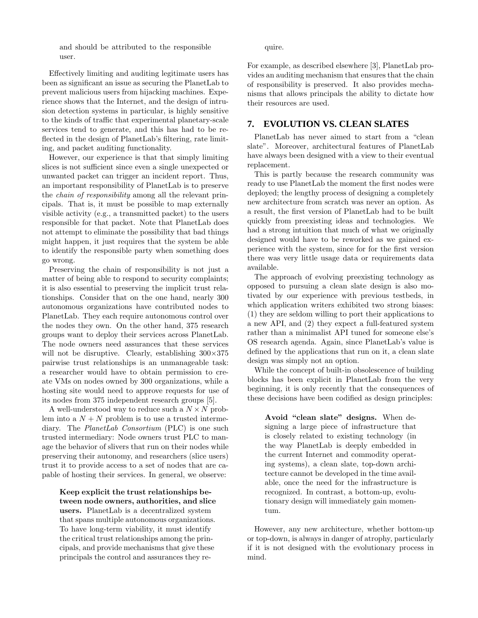and should be attributed to the responsible user.

Effectively limiting and auditing legitimate users has been as significant an issue as securing the PlanetLab to prevent malicious users from hijacking machines. Experience shows that the Internet, and the design of intrusion detection systems in particular, is highly sensitive to the kinds of traffic that experimental planetary-scale services tend to generate, and this has had to be reflected in the design of PlanetLab's filtering, rate limiting, and packet auditing functionality.

However, our experience is that that simply limiting slices is not sufficient since even a single unexpected or unwanted packet can trigger an incident report. Thus, an important responsibility of PlanetLab is to preserve the chain of responsibility among all the relevant principals. That is, it must be possible to map externally visible activity (e.g., a transmitted packet) to the users responsible for that packet. Note that PlanetLab does not attempt to eliminate the possibility that bad things might happen, it just requires that the system be able to identify the responsible party when something does go wrong.

Preserving the chain of responsibility is not just a matter of being able to respond to security complaints; it is also essential to preserving the implicit trust relationships. Consider that on the one hand, nearly 300 autonomous organizations have contributed nodes to PlanetLab. They each require autonomous control over the nodes they own. On the other hand, 375 research groups want to deploy their services across PlanetLab. The node owners need assurances that these services will not be disruptive. Clearly, establishing  $300 \times 375$ pairwise trust relationships is an unmanageable task: a researcher would have to obtain permission to create VMs on nodes owned by 300 organizations, while a hosting site would need to approve requests for use of its nodes from 375 independent research groups [5].

A well-understood way to reduce such a  $N \times N$  problem into a  $N + N$  problem is to use a trusted intermediary. The PlanetLab Consortium (PLC) is one such trusted intermediary: Node owners trust PLC to manage the behavior of slivers that run on their nodes while preserving their autonomy, and researchers (slice users) trust it to provide access to a set of nodes that are capable of hosting their services. In general, we observe:

Keep explicit the trust relationships between node owners, authorities, and slice users. PlanetLab is a decentralized system that spans multiple autonomous organizations. To have long-term viability, it must identify the critical trust relationships among the principals, and provide mechanisms that give these principals the control and assurances they require.

For example, as described elsewhere [3], PlanetLab provides an auditing mechanism that ensures that the chain of responsibility is preserved. It also provides mechanisms that allows principals the ability to dictate how their resources are used.

## **7. EVOLUTION VS. CLEAN SLATES**

PlanetLab has never aimed to start from a "clean slate". Moreover, architectural features of PlanetLab have always been designed with a view to their eventual replacement.

This is partly because the research community was ready to use PlanetLab the moment the first nodes were deployed; the lengthy process of designing a completely new architecture from scratch was never an option. As a result, the first version of PlanetLab had to be built quickly from preexisting ideas and technologies. We had a strong intuition that much of what we originally designed would have to be reworked as we gained experience with the system, since for for the first version there was very little usage data or requirements data available.

The approach of evolving preexisting technology as opposed to pursuing a clean slate design is also motivated by our experience with previous testbeds, in which application writers exhibited two strong biases: (1) they are seldom willing to port their applications to a new API, and (2) they expect a full-featured system rather than a minimalist API tuned for someone else's OS research agenda. Again, since PlanetLab's value is defined by the applications that run on it, a clean slate design was simply not an option.

While the concept of built-in obsolescence of building blocks has been explicit in PlanetLab from the very beginning, it is only recently that the consequences of these decisions have been codified as design principles:

Avoid "clean slate" designs. When designing a large piece of infrastructure that is closely related to existing technology (in the way PlanetLab is deeply embedded in the current Internet and commodity operating systems), a clean slate, top-down architecture cannot be developed in the time available, once the need for the infrastructure is recognized. In contrast, a bottom-up, evolutionary design will immediately gain momentum.

However, any new architecture, whether bottom-up or top-down, is always in danger of atrophy, particularly if it is not designed with the evolutionary process in mind.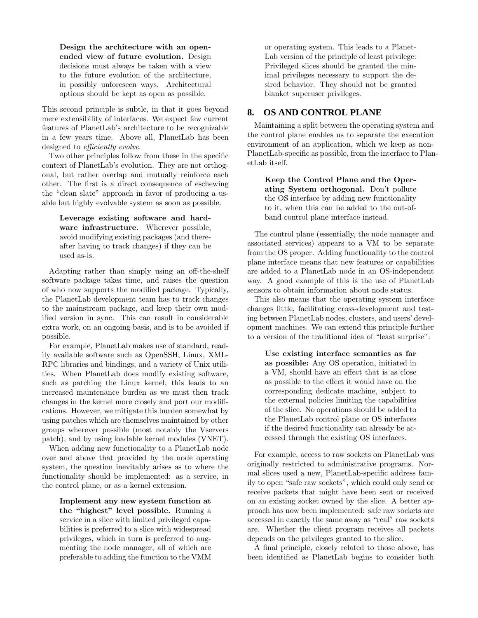Design the architecture with an openended view of future evolution. Design decisions must always be taken with a view to the future evolution of the architecture, in possibly unforeseen ways. Architectural options should be kept as open as possible.

This second principle is subtle, in that it goes beyond mere extensibility of interfaces. We expect few current features of PlanetLab's architecture to be recognizable in a few years time. Above all, PlanetLab has been designed to *efficiently evolve*.

Two other principles follow from these in the specific context of PlanetLab's evolution. They are not orthogonal, but rather overlap and mutually reinforce each other. The first is a direct consequence of eschewing the "clean slate" approach in favor of producing a usable but highly evolvable system as soon as possible.

Leverage existing software and hardware infrastructure. Wherever possible, avoid modifying existing packages (and thereafter having to track changes) if they can be used as-is.

Adapting rather than simply using an off-the-shelf software package takes time, and raises the question of who now supports the modified package. Typically, the PlanetLab development team has to track changes to the mainstream package, and keep their own modified version in sync. This can result in considerable extra work, on an ongoing basis, and is to be avoided if possible.

For example, PlanetLab makes use of standard, readily available software such as OpenSSH, Linux, XML-RPC libraries and bindings, and a variety of Unix utilities. When PlanetLab does modify existing software, such as patching the Linux kernel, this leads to an increased maintenance burden as we must then track changes in the kernel more closely and port our modifications. However, we mitigate this burden somewhat by using patches which are themselves maintained by other groups wherever possible (most notably the Vservers patch), and by using loadable kernel modules (VNET).

When adding new functionality to a PlanetLab node over and above that provided by the node operating system, the question inevitably arises as to where the functionality should be implemented: as a service, in the control plane, or as a kernel extension.

Implement any new system function at the "highest" level possible. Running a service in a slice with limited privileged capabilities is preferred to a slice with widespread privileges, which in turn is preferred to augmenting the node manager, all of which are preferable to adding the function to the VMM or operating system. This leads to a Planet-Lab version of the principle of least privilege: Privileged slices should be granted the minimal privileges necessary to support the desired behavior. They should not be granted blanket superuser privileges.

### **8. OS AND CONTROL PLANE**

Maintaining a split between the operating system and the control plane enables us to separate the execution environment of an application, which we keep as non-PlanetLab-specific as possible, from the interface to PlanetLab itself.

Keep the Control Plane and the Operating System orthogonal. Don't pollute the OS interface by adding new functionality to it, when this can be added to the out-ofband control plane interface instead.

The control plane (essentially, the node manager and associated services) appears to a VM to be separate from the OS proper. Adding functionality to the control plane interface means that new features or capabilities are added to a PlanetLab node in an OS-independent way. A good example of this is the use of PlanetLab sensors to obtain information about node status.

This also means that the operating system interface changes little, facilitating cross-development and testing between PlanetLab nodes, clusters, and users' development machines. We can extend this principle further to a version of the traditional idea of "least surprise":

Use existing interface semantics as far as possible: Any OS operation, initiated in a VM, should have an effect that is as close as possible to the effect it would have on the corresponding dedicate machine, subject to the external policies limiting the capabilities of the slice. No operations should be added to the PlanetLab control plane or OS interfaces if the desired functionality can already be accessed through the existing OS interfaces.

For example, access to raw sockets on PlanetLab was originally restricted to administrative programs. Normal slices used a new, PlanetLab-specific address family to open "safe raw sockets", which could only send or receive packets that might have been sent or received on an existing socket owned by the slice. A better approach has now been implemented: safe raw sockets are accessed in exactly the same away as "real" raw sockets are. Whether the client program receives all packets depends on the privileges granted to the slice.

A final principle, closely related to those above, has been identified as PlanetLab begins to consider both